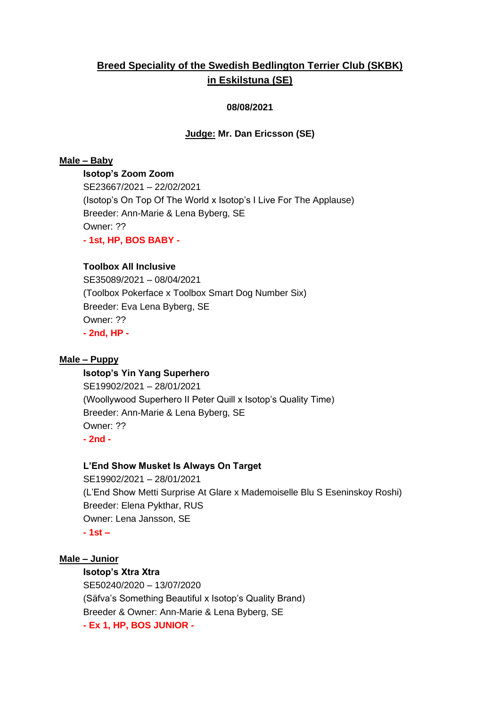# **Breed Speciality of the Swedish Bedlington Terrier Club (SKBK) in Eskilstuna (SE)**

# **08/08/2021**

## **Judge: Mr. Dan Ericsson (SE)**

## **Male – Baby**

**Isotop's Zoom Zoom** SE23667/2021 – 22/02/2021 (Isotop's On Top Of The World x Isotop's I Live For The Applause) Breeder: Ann-Marie & Lena Byberg, SE Owner: ?? **- 1st, HP, BOS BABY -**

#### **Toolbox All Inclusive**

SE35089/2021 – 08/04/2021 (Toolbox Pokerface x Toolbox Smart Dog Number Six) Breeder: Eva Lena Byberg, SE Owner: ?? **- 2nd, HP -**

#### **Male – Puppy**

#### **Isotop's Yin Yang Superhero**

SE19902/2021 – 28/01/2021 (Woollywood Superhero II Peter Quill x Isotop's Quality Time) Breeder: Ann-Marie & Lena Byberg, SE Owner: ?? **- 2nd -**

#### **L'End Show Musket Is Always On Target**

SE19902/2021 – 28/01/2021 (L'End Show Metti Surprise At Glare x Mademoiselle Blu S Eseninskoy Roshi) Breeder: Elena Pykthar, RUS Owner: Lena Jansson, SE **- 1st –**

#### **Male – Junior**

# **Isotop's Xtra Xtra**

SE50240/2020 – 13/07/2020 (Säfva's Something Beautiful x Isotop's Quality Brand) Breeder & Owner: Ann-Marie & Lena Byberg, SE **- Ex 1, HP, BOS JUNIOR -**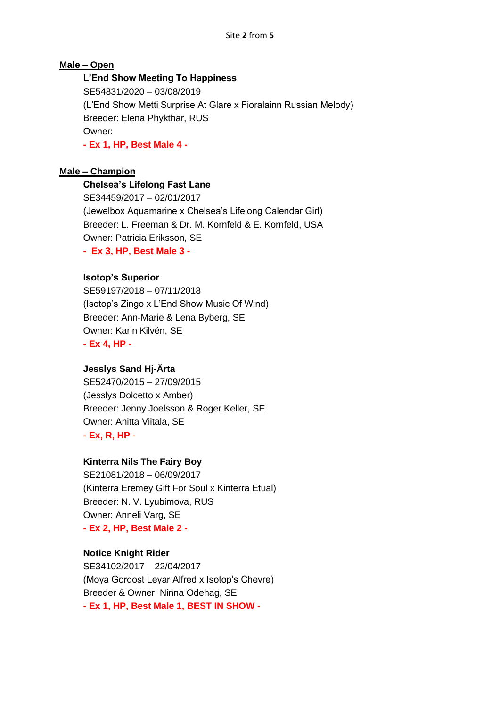# **Male – Open**

# **L'End Show Meeting To Happiness**

SE54831/2020 – 03/08/2019 (L'End Show Metti Surprise At Glare x Fioralainn Russian Melody) Breeder: Elena Phykthar, RUS Owner: **- Ex 1, HP, Best Male 4 -**

#### **Male – Champion**

**Chelsea's Lifelong Fast Lane**

SE34459/2017 – 02/01/2017 (Jewelbox Aquamarine x Chelsea's Lifelong Calendar Girl) Breeder: L. Freeman & Dr. M. Kornfeld & E. Kornfeld, USA Owner: Patricia Eriksson, SE

**- Ex 3, HP, Best Male 3 -**

#### **Isotop's Superior**

SE59197/2018 – 07/11/2018 (Isotop's Zingo x L'End Show Music Of Wind) Breeder: Ann-Marie & Lena Byberg, SE Owner: Karin Kilvén, SE **- Ex 4, HP -**

#### **Jesslys Sand Hj-Ärta**

SE52470/2015 – 27/09/2015 (Jesslys Dolcetto x Amber) Breeder: Jenny Joelsson & Roger Keller, SE Owner: Anitta Viitala, SE **- Ex, R, HP -**

#### **Kinterra Nils The Fairy Boy**

SE21081/2018 – 06/09/2017 (Kinterra Eremey Gift For Soul x Kinterra Etual) Breeder: N. V. Lyubimova, RUS Owner: Anneli Varg, SE **- Ex 2, HP, Best Male 2 -**

## **Notice Knight Rider**

SE34102/2017 – 22/04/2017 (Moya Gordost Leyar Alfred x Isotop's Chevre) Breeder & Owner: Ninna Odehag, SE **- Ex 1, HP, Best Male 1, BEST IN SHOW -**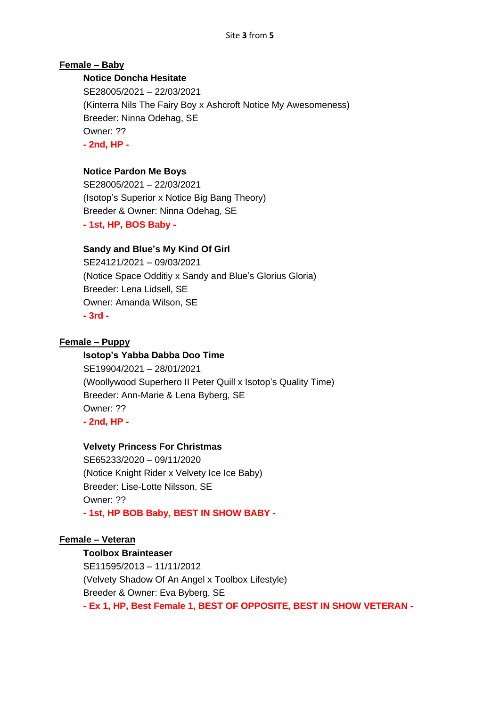# **Female – Baby**

# **Notice Doncha Hesitate**

SE28005/2021 – 22/03/2021 (Kinterra Nils The Fairy Boy x Ashcroft Notice My Awesomeness) Breeder: Ninna Odehag, SE Owner: ?? **- 2nd, HP -**

# **Notice Pardon Me Boys**

SE28005/2021 – 22/03/2021 (Isotop's Superior x Notice Big Bang Theory) Breeder & Owner: Ninna Odehag, SE **- 1st, HP, BOS Baby -**

# **Sandy and Blue's My Kind Of Girl**

SE24121/2021 – 09/03/2021 (Notice Space Odditiy x Sandy and Blue's Glorius Gloria) Breeder: Lena Lidsell, SE Owner: Amanda Wilson, SE **- 3rd -**

#### **Female – Puppy**

#### **Isotop's Yabba Dabba Doo Time**

SE19904/2021 – 28/01/2021 (Woollywood Superhero II Peter Quill x Isotop's Quality Time) Breeder: Ann-Marie & Lena Byberg, SE Owner: ?? **- 2nd, HP -**

#### **Velvety Princess For Christmas**

SE65233/2020 – 09/11/2020 (Notice Knight Rider x Velvety Ice Ice Baby) Breeder: Lise-Lotte Nilsson, SE Owner: ?? **- 1st, HP BOB Baby, BEST IN SHOW BABY -**

#### **Female – Veteran**

#### **Toolbox Brainteaser**

SE11595/2013 – 11/11/2012 (Velvety Shadow Of An Angel x Toolbox Lifestyle) Breeder & Owner: Eva Byberg, SE **- Ex 1, HP, Best Female 1, BEST OF OPPOSITE, BEST IN SHOW VETERAN -**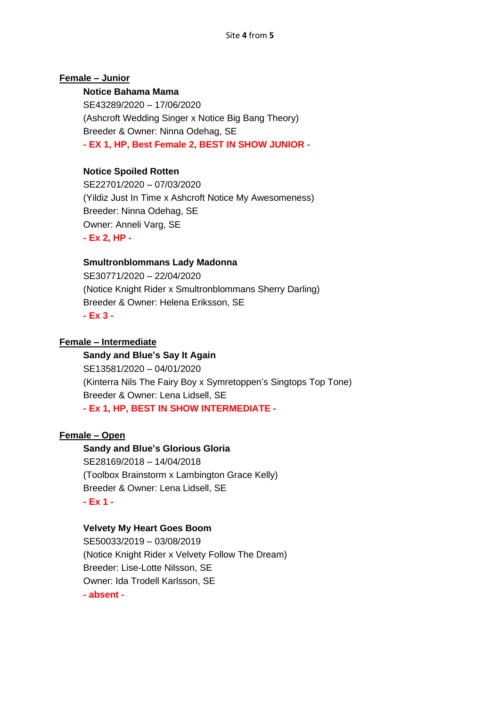## **Female – Junior**

#### **Notice Bahama Mama**

SE43289/2020 – 17/06/2020 (Ashcroft Wedding Singer x Notice Big Bang Theory) Breeder & Owner: Ninna Odehag, SE **- EX 1, HP, Best Female 2, BEST IN SHOW JUNIOR -**

## **Notice Spoiled Rotten**

SE22701/2020 – 07/03/2020 (Yildiz Just In Time x Ashcroft Notice My Awesomeness) Breeder: Ninna Odehag, SE Owner: Anneli Varg, SE **- Ex 2, HP -**

#### **Smultronblommans Lady Madonna**

SE30771/2020 – 22/04/2020 (Notice Knight Rider x Smultronblommans Sherry Darling) Breeder & Owner: Helena Eriksson, SE **- Ex 3 -**

#### **Female – Intermediate**

# **Sandy and Blue's Say It Again**

SE13581/2020 – 04/01/2020 (Kinterra Nils The Fairy Boy x Symretoppen's Singtops Top Tone) Breeder & Owner: Lena Lidsell, SE **- Ex 1, HP, BEST IN SHOW INTERMEDIATE -**

#### **Female – Open**

**Sandy and Blue's Glorious Gloria** SE28169/2018 – 14/04/2018 (Toolbox Brainstorm x Lambington Grace Kelly) Breeder & Owner: Lena Lidsell, SE **- Ex 1 -**

#### **Velvety My Heart Goes Boom**

SE50033/2019 – 03/08/2019 (Notice Knight Rider x Velvety Follow The Dream) Breeder: Lise-Lotte Nilsson, SE Owner: Ida Trodell Karlsson, SE **- absent -**